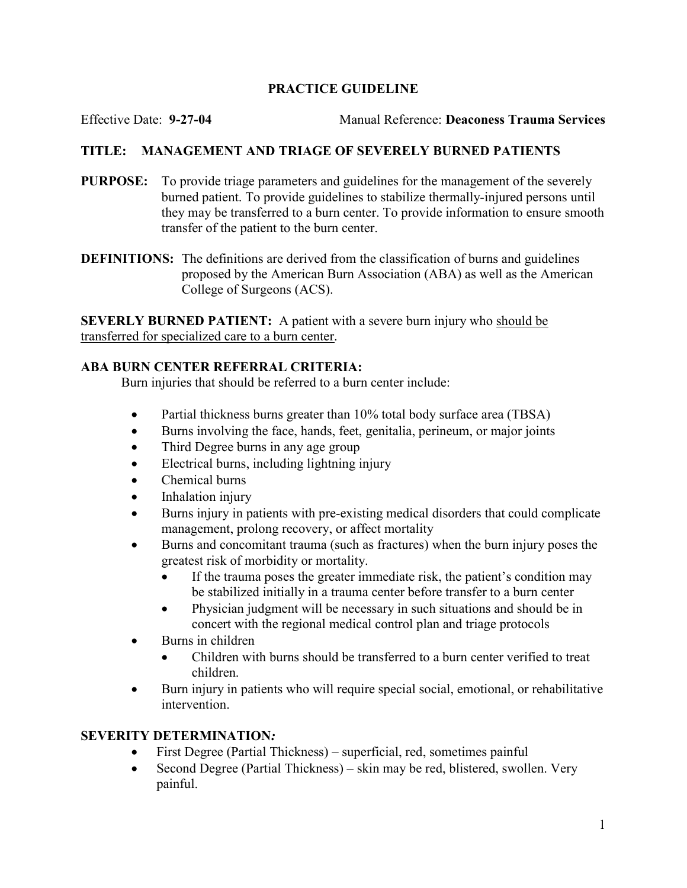# PRACTICE GUIDELINE

Effective Date: 9-27-04 Manual Reference: Deaconess Trauma Services

# TITLE: MANAGEMENT AND TRIAGE OF SEVERELY BURNED PATIENTS

- PURPOSE: To provide triage parameters and guidelines for the management of the severely burned patient. To provide guidelines to stabilize thermally-injured persons until they may be transferred to a burn center. To provide information to ensure smooth transfer of the patient to the burn center.
- DEFINITIONS: The definitions are derived from the classification of burns and guidelines proposed by the American Burn Association (ABA) as well as the American College of Surgeons (ACS).

SEVERLY BURNED PATIENT: A patient with a severe burn injury who should be transferred for specialized care to a burn center.

# ABA BURN CENTER REFERRAL CRITERIA:

Burn injuries that should be referred to a burn center include:

- Partial thickness burns greater than 10% total body surface area (TBSA)
- Burns involving the face, hands, feet, genitalia, perineum, or major joints
- Third Degree burns in any age group
- Electrical burns, including lightning injury
- Chemical burns
- Inhalation injury
- Burns injury in patients with pre-existing medical disorders that could complicate management, prolong recovery, or affect mortality
- Burns and concomitant trauma (such as fractures) when the burn injury poses the greatest risk of morbidity or mortality.
	- If the trauma poses the greater immediate risk, the patient's condition may be stabilized initially in a trauma center before transfer to a burn center
	- Physician judgment will be necessary in such situations and should be in concert with the regional medical control plan and triage protocols
- Burns in children
	- Children with burns should be transferred to a burn center verified to treat children.
- Burn injury in patients who will require special social, emotional, or rehabilitative intervention.

### SEVERITY DETERMINATION:

- First Degree (Partial Thickness) superficial, red, sometimes painful
- Second Degree (Partial Thickness) skin may be red, blistered, swollen. Very painful.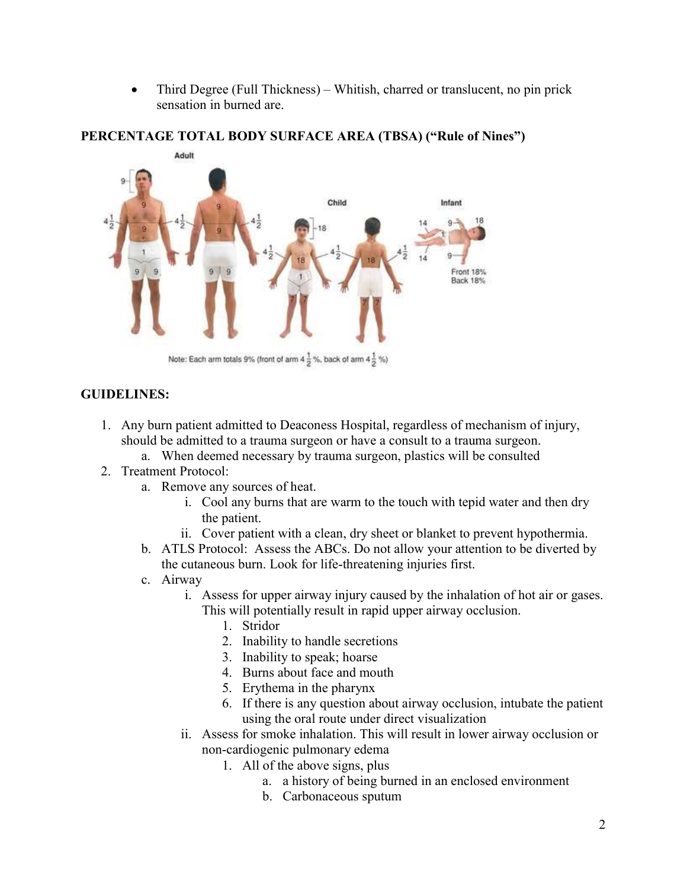• Third Degree (Full Thickness) – Whitish, charred or translucent, no pin prick sensation in burned are.



#### PERCENTAGE TOTAL BODY SURFACE AREA (TBSA) ("Rule of Nines")

#### GUIDELINES:

- 1. Any burn patient admitted to Deaconess Hospital, regardless of mechanism of injury, should be admitted to a trauma surgeon or have a consult to a trauma surgeon.
	- a. When deemed necessary by trauma surgeon, plastics will be consulted
- 2. Treatment Protocol:
	- a. Remove any sources of heat.
		- i. Cool any burns that are warm to the touch with tepid water and then dry the patient.
		- ii. Cover patient with a clean, dry sheet or blanket to prevent hypothermia.
	- b. ATLS Protocol: Assess the ABCs. Do not allow your attention to be diverted by the cutaneous burn. Look for life-threatening injuries first.
	- c. Airway
		- i. Assess for upper airway injury caused by the inhalation of hot air or gases. This will potentially result in rapid upper airway occlusion.
			- 1. Stridor
			- 2. Inability to handle secretions
			- 3. Inability to speak; hoarse
			- 4. Burns about face and mouth
			- 5. Erythema in the pharynx
			- 6. If there is any question about airway occlusion, intubate the patient using the oral route under direct visualization
		- ii. Assess for smoke inhalation. This will result in lower airway occlusion or non-cardiogenic pulmonary edema
			- 1. All of the above signs, plus
				- a. a history of being burned in an enclosed environment
				- b. Carbonaceous sputum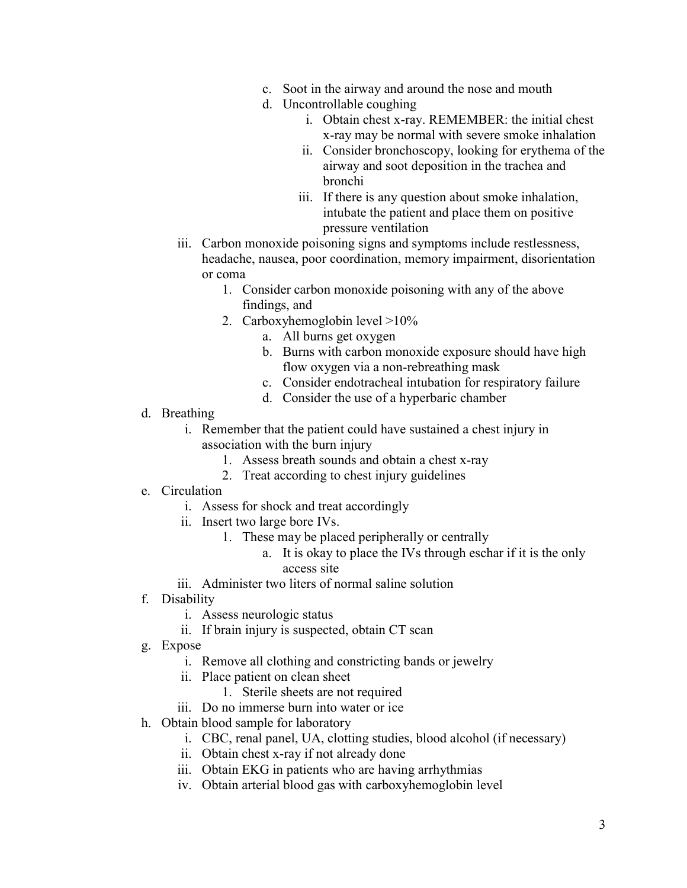- c. Soot in the airway and around the nose and mouth
- d. Uncontrollable coughing
	- i. Obtain chest x-ray. REMEMBER: the initial chest x-ray may be normal with severe smoke inhalation
	- ii. Consider bronchoscopy, looking for erythema of the airway and soot deposition in the trachea and bronchi
	- iii. If there is any question about smoke inhalation, intubate the patient and place them on positive pressure ventilation
- iii. Carbon monoxide poisoning signs and symptoms include restlessness, headache, nausea, poor coordination, memory impairment, disorientation or coma
	- 1. Consider carbon monoxide poisoning with any of the above findings, and
	- 2. Carboxyhemoglobin level >10%
		- a. All burns get oxygen
		- b. Burns with carbon monoxide exposure should have high flow oxygen via a non-rebreathing mask
		- c. Consider endotracheal intubation for respiratory failure
		- d. Consider the use of a hyperbaric chamber
- d. Breathing
	- i. Remember that the patient could have sustained a chest injury in association with the burn injury
		- 1. Assess breath sounds and obtain a chest x-ray
		- 2. Treat according to chest injury guidelines
- e. Circulation
	- i. Assess for shock and treat accordingly
	- ii. Insert two large bore IVs.
		- 1. These may be placed peripherally or centrally
			- a. It is okay to place the IVs through eschar if it is the only access site
	- iii. Administer two liters of normal saline solution
- f. Disability
	- i. Assess neurologic status
	- ii. If brain injury is suspected, obtain CT scan
- g. Expose
	- i. Remove all clothing and constricting bands or jewelry
	- ii. Place patient on clean sheet
		- 1. Sterile sheets are not required
	- iii. Do no immerse burn into water or ice
- h. Obtain blood sample for laboratory
	- i. CBC, renal panel, UA, clotting studies, blood alcohol (if necessary)
	- ii. Obtain chest x-ray if not already done
	- iii. Obtain EKG in patients who are having arrhythmias
	- iv. Obtain arterial blood gas with carboxyhemoglobin level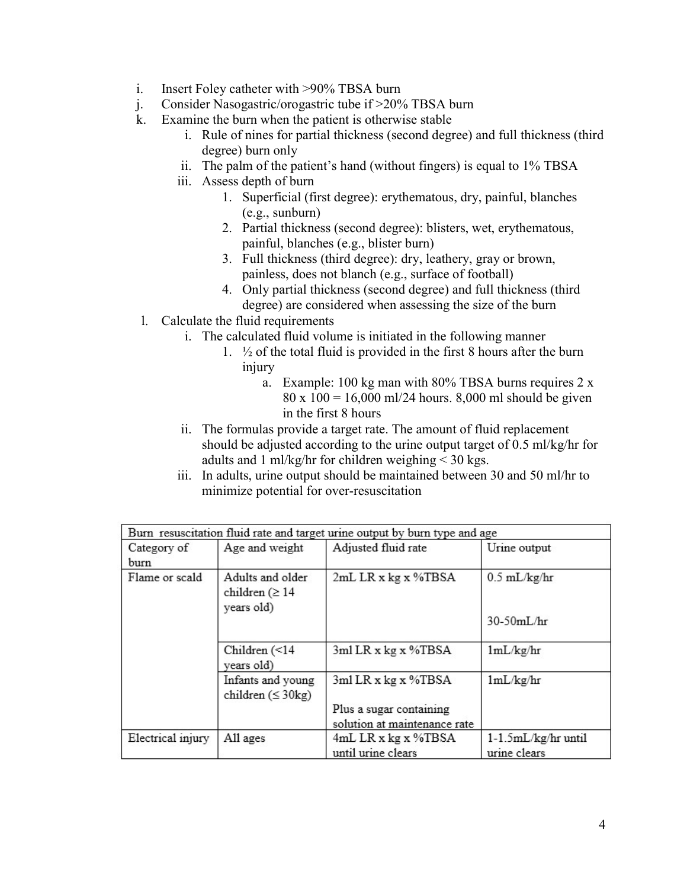- i. Insert Foley catheter with >90% TBSA burn
- j. Consider Nasogastric/orogastric tube if >20% TBSA burn
- k. Examine the burn when the patient is otherwise stable
	- i. Rule of nines for partial thickness (second degree) and full thickness (third degree) burn only
	- ii. The palm of the patient's hand (without fingers) is equal to 1% TBSA
	- iii. Assess depth of burn
		- 1. Superficial (first degree): erythematous, dry, painful, blanches (e.g., sunburn)
		- 2. Partial thickness (second degree): blisters, wet, erythematous, painful, blanches (e.g., blister burn)
		- 3. Full thickness (third degree): dry, leathery, gray or brown, painless, does not blanch (e.g., surface of football)
		- 4. Only partial thickness (second degree) and full thickness (third degree) are considered when assessing the size of the burn
- l. Calculate the fluid requirements
	- i. The calculated fluid volume is initiated in the following manner
		- 1.  $\frac{1}{2}$  of the total fluid is provided in the first 8 hours after the burn injury
			- a. Example: 100 kg man with 80% TBSA burns requires 2 x 80 x 100 = 16,000 ml/24 hours. 8,000 ml should be given in the first 8 hours
	- ii. The formulas provide a target rate. The amount of fluid replacement should be adjusted according to the urine output target of 0.5 ml/kg/hr for adults and 1 ml/kg/hr for children weighing < 30 kgs.
	- iii. In adults, urine output should be maintained between 30 and 50 ml/hr to minimize potential for over-resuscitation

| Burn resuscitation fluid rate and target urine output by burn type and age |                                                        |                              |                     |
|----------------------------------------------------------------------------|--------------------------------------------------------|------------------------------|---------------------|
| Category of<br>burn                                                        | Age and weight                                         | Adjusted fluid rate          | Urine output        |
| Flame or scald                                                             | Adults and older<br>children ( $\geq 14$<br>years old) | 2mL LR x kg x %TBSA          | $0.5$ mL/kg/hr      |
|                                                                            |                                                        |                              | $30-50mL/hr$        |
|                                                                            | Children (<14<br>years old)                            | $3ml$ LR x kg x %TBSA        | 1mL/kg/hr           |
|                                                                            | Infants and young<br>children $( \leq 30 \text{kg} )$  | 3ml LR x kg x %TBSA          | 1mL/kg/hr           |
|                                                                            |                                                        | Plus a sugar containing      |                     |
|                                                                            |                                                        | solution at maintenance rate |                     |
| Electrical injury                                                          | All ages                                               | 4mL LR x kg x %TBSA          | 1-1.5mL/kg/hr until |
|                                                                            |                                                        | until urine clears           | urine clears        |